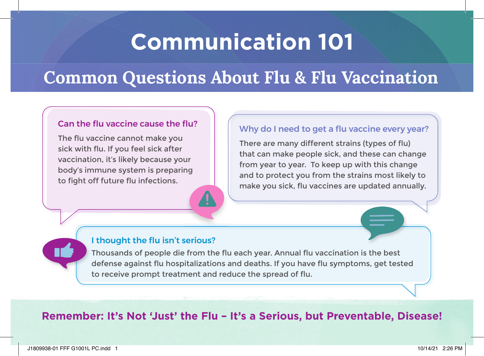# **Communication 101**

### **Common Questions About Flu & Flu Vaccination**

#### Can the flu vaccine cause the flu?

The flu vaccine cannot make you sick with flu. If you feel sick after vaccination, it's likely because your body's immune system is preparing to fight off future flu infections.

#### Why do I need to get a flu vaccine every year?

There are many different strains (types of flu) that can make people sick, and these can change from year to year. To keep up with this change and to protect you from the strains most likely to make you sick, flu vaccines are updated annually.

#### I thought the flu isn't serious?

Thousands of people die from the flu each year. Annual flu vaccination is the best defense against flu hospitalizations and deaths. If you have flu symptoms, get tested to receive prompt treatment and reduce the spread of flu.

### **Remember: It's Not 'Just' the Flu – It's a Serious, but Preventable, Disease!**